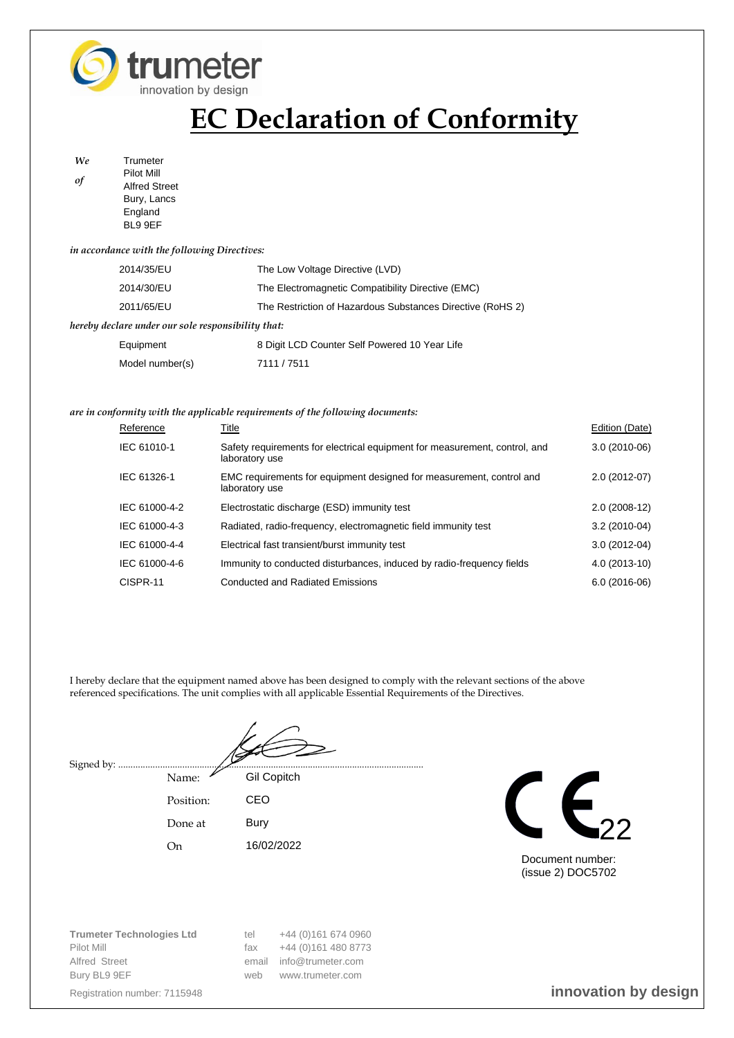

# **EC Declaration of Conformity**

*We* Trumeter *of* Pilot Mill Alfred Street Bury, Lancs **England** BL9 9EF

### *in accordance with the following Directives:*

|                                                    | 2014/35/EU      | The Low Voltage Directive (LVD)                            |  |  |
|----------------------------------------------------|-----------------|------------------------------------------------------------|--|--|
|                                                    | 2014/30/EU      | The Electromagnetic Compatibility Directive (EMC)          |  |  |
|                                                    | 2011/65/EU      | The Restriction of Hazardous Substances Directive (RoHS 2) |  |  |
| hereby declare under our sole responsibility that: |                 |                                                            |  |  |
|                                                    | Equipment       | 8 Digit LCD Counter Self Powered 10 Year Life              |  |  |
|                                                    | Model number(s) | 7111 / 7511                                                |  |  |

### *are in conformity with the applicable requirements of the following documents:*

| Reference     | Title                                                                                        | Edition (Date) |
|---------------|----------------------------------------------------------------------------------------------|----------------|
| IEC 61010-1   | Safety requirements for electrical equipment for measurement, control, and<br>laboratory use | $3.0(2010-06)$ |
| IEC 61326-1   | EMC requirements for equipment designed for measurement, control and<br>laboratory use       | $2.0(2012-07)$ |
| IEC 61000-4-2 | Electrostatic discharge (ESD) immunity test                                                  | $2.0(2008-12)$ |
| IEC 61000-4-3 | Radiated, radio-frequency, electromagnetic field immunity test                               | $3.2(2010-04)$ |
| IEC 61000-4-4 | Electrical fast transient/burst immunity test                                                | $3.0(2012-04)$ |
| IEC 61000-4-6 | Immunity to conducted disturbances, induced by radio-frequency fields                        | 4.0 (2013-10)  |
| CISPR-11      | <b>Conducted and Radiated Emissions</b>                                                      | $6.0(2016-06)$ |

I hereby declare that the equipment named above has been designed to comply with the relevant sections of the above referenced specifications. The unit complies with all applicable Essential Requirements of the Directives.

Signed by: ......

Name: Gil Copitch Position: CEO

Done at Bury

On 16/02/2022



Document number: (issue 2) DOC5702

**Trumeter Technologies Ltd** tel +44 (0)161 674 0960 Pilot Mill **Filot Mill** fax  $+44 (0)161 480 8773$ Alfred Street email info@trumeter.com Bury BL9 9EF www.trumeter.com

Registration number: 7115948 **innovation by design**